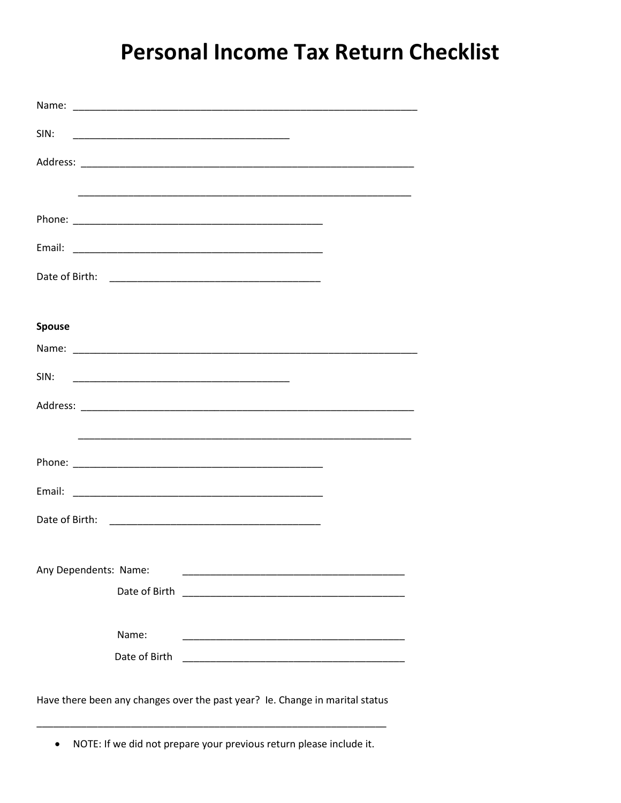## **Personal Income Tax Return Checklist**

| Name:                                                                        | <u> 1989 - Johann Stoff, amerikansk politiker (d. 1989)</u>                                                                              |  |  |  |
|------------------------------------------------------------------------------|------------------------------------------------------------------------------------------------------------------------------------------|--|--|--|
| SIN:                                                                         |                                                                                                                                          |  |  |  |
|                                                                              |                                                                                                                                          |  |  |  |
|                                                                              |                                                                                                                                          |  |  |  |
|                                                                              |                                                                                                                                          |  |  |  |
|                                                                              |                                                                                                                                          |  |  |  |
|                                                                              |                                                                                                                                          |  |  |  |
|                                                                              |                                                                                                                                          |  |  |  |
| <b>Spouse</b>                                                                |                                                                                                                                          |  |  |  |
|                                                                              |                                                                                                                                          |  |  |  |
| SIN:                                                                         |                                                                                                                                          |  |  |  |
|                                                                              |                                                                                                                                          |  |  |  |
|                                                                              |                                                                                                                                          |  |  |  |
|                                                                              |                                                                                                                                          |  |  |  |
|                                                                              |                                                                                                                                          |  |  |  |
|                                                                              |                                                                                                                                          |  |  |  |
|                                                                              |                                                                                                                                          |  |  |  |
| Any Dependents: Name:                                                        | <u> 1989 - Johann Stein, mars et al. (1989)</u>                                                                                          |  |  |  |
|                                                                              | Date of Birth<br><u> 1980 - Jan James, marian menyebarkat bagian perang di pada 1990 - perang perang perang perang perang perang per</u> |  |  |  |
|                                                                              | Name:                                                                                                                                    |  |  |  |
|                                                                              | Date of Birth<br><u> 1989 - Johann John Stein, markin film fan it ferstjer fan it ferstjer fan it ferstjer fan it ferstjer fan it f</u>  |  |  |  |
|                                                                              |                                                                                                                                          |  |  |  |
| Have there been any changes over the past year? Ie. Change in marital status |                                                                                                                                          |  |  |  |
|                                                                              |                                                                                                                                          |  |  |  |
|                                                                              | NOTE: If we did not prepare your previous return please include it.                                                                      |  |  |  |